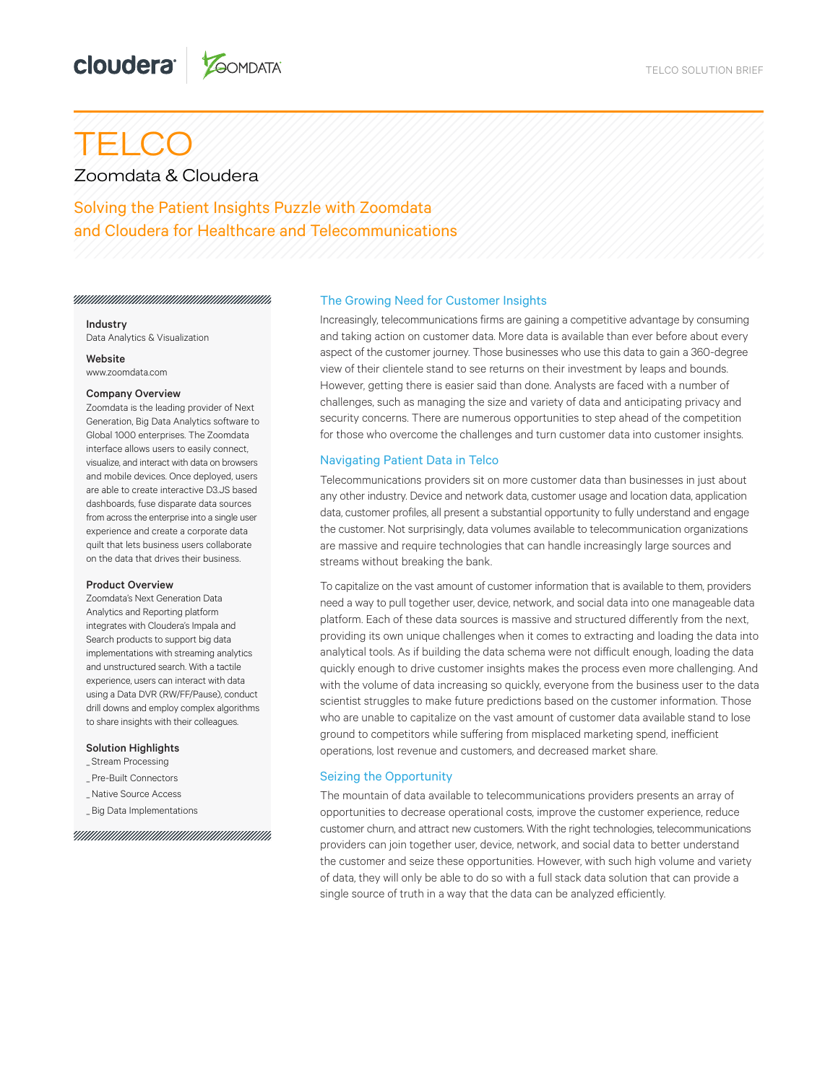# TELCO

Zoomdata & Cloudera

Solving the Patient Insights Puzzle with Zoomdata and Cloudera for Healthcare and Telecommunications

Industry Data Analytics & Visualization

**Website** www.zoomdata.com

#### Company Overview

Zoomdata is the leading provider of Next Generation, Big Data Analytics software to Global 1000 enterprises. The Zoomdata interface allows users to easily connect, visualize, and interact with data on browsers and mobile devices. Once deployed, users are able to create interactive D3.JS based dashboards, fuse disparate data sources from across the enterprise into a single user experience and create a corporate data quilt that lets business users collaborate on the data that drives their business.

### Product Overview

Zoomdata's Next Generation Data Analytics and Reporting platform integrates with Cloudera's Impala and Search products to support big data implementations with streaming analytics and unstructured search. With a tactile experience, users can interact with data using a Data DVR (RW/FF/Pause), conduct drill downs and employ complex algorithms to share insights with their colleagues.

#### Solution Highlights

- \_ Stream Processing
- \_ Pre-Built Connectors
- \_Native Source Access
- \_ Big Data Implementations

## The Growing Need for Customer Insights

Increasingly, telecommunications firms are gaining a competitive advantage by consuming and taking action on customer data. More data is available than ever before about every aspect of the customer journey. Those businesses who use this data to gain a 360-degree view of their clientele stand to see returns on their investment by leaps and bounds. However, getting there is easier said than done. Analysts are faced with a number of challenges, such as managing the size and variety of data and anticipating privacy and security concerns. There are numerous opportunities to step ahead of the competition for those who overcome the challenges and turn customer data into customer insights.

## Navigating Patient Data in Telco

Telecommunications providers sit on more customer data than businesses in just about any other industry. Device and network data, customer usage and location data, application data, customer profiles, all present a substantial opportunity to fully understand and engage the customer. Not surprisingly, data volumes available to telecommunication organizations are massive and require technologies that can handle increasingly large sources and streams without breaking the bank.

To capitalize on the vast amount of customer information that is available to them, providers need a way to pull together user, device, network, and social data into one manageable data platform. Each of these data sources is massive and structured differently from the next, providing its own unique challenges when it comes to extracting and loading the data into analytical tools. As if building the data schema were not difficult enough, loading the data quickly enough to drive customer insights makes the process even more challenging. And with the volume of data increasing so quickly, everyone from the business user to the data scientist struggles to make future predictions based on the customer information. Those who are unable to capitalize on the vast amount of customer data available stand to lose ground to competitors while suffering from misplaced marketing spend, inefficient operations, lost revenue and customers, and decreased market share.

# Seizing the Opportunity

The mountain of data available to telecommunications providers presents an array of opportunities to decrease operational costs, improve the customer experience, reduce customer churn, and attract new customers. With the right technologies, telecommunications providers can join together user, device, network, and social data to better understand the customer and seize these opportunities. However, with such high volume and variety of data, they will only be able to do so with a full stack data solution that can provide a single source of truth in a way that the data can be analyzed efficiently.